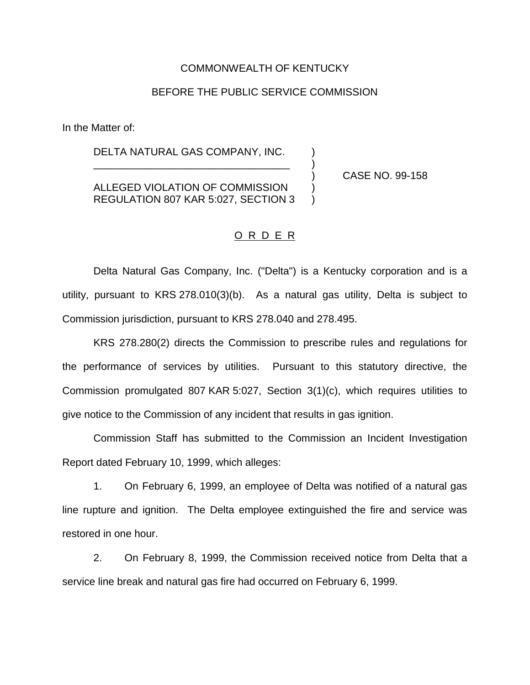## COMMONWEALTH OF KENTUCKY

## BEFORE THE PUBLIC SERVICE COMMISSION

In the Matter of:

DELTA NATURAL GAS COMPANY, INC.

ALLEGED VIOLATION OF COMMISSION ) REGULATION 807 KAR 5:027, SECTION 3 )

\_\_\_\_\_\_\_\_\_\_\_\_\_\_\_\_\_\_\_\_\_\_\_\_\_\_\_\_\_\_\_\_\_\_ )

) CASE NO. 99-158

## O R D E R

Delta Natural Gas Company, Inc. ("Delta") is a Kentucky corporation and is a utility, pursuant to KRS 278.010(3)(b). As a natural gas utility, Delta is subject to Commission jurisdiction, pursuant to KRS 278.040 and 278.495.

KRS 278.280(2) directs the Commission to prescribe rules and regulations for the performance of services by utilities. Pursuant to this statutory directive, the Commission promulgated 807 KAR 5:027, Section 3(1)(c), which requires utilities to give notice to the Commission of any incident that results in gas ignition.

Commission Staff has submitted to the Commission an Incident Investigation Report dated February 10, 1999, which alleges:

1. On February 6, 1999, an employee of Delta was notified of a natural gas line rupture and ignition. The Delta employee extinguished the fire and service was restored in one hour.

2. On February 8, 1999, the Commission received notice from Delta that a service line break and natural gas fire had occurred on February 6, 1999.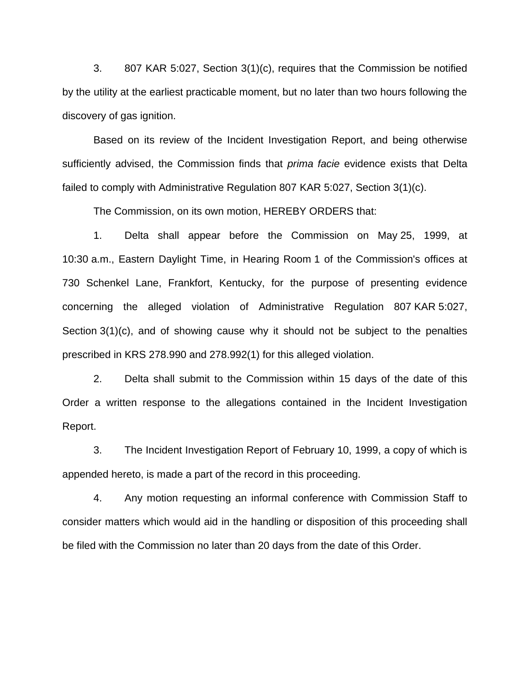3. 807 KAR 5:027, Section 3(1)(c), requires that the Commission be notified by the utility at the earliest practicable moment, but no later than two hours following the discovery of gas ignition.

Based on its review of the Incident Investigation Report, and being otherwise sufficiently advised, the Commission finds that *prima facie* evidence exists that Delta failed to comply with Administrative Regulation 807 KAR 5:027, Section 3(1)(c).

The Commission, on its own motion, HEREBY ORDERS that:

1. Delta shall appear before the Commission on May 25, 1999, at 10:30 a.m., Eastern Daylight Time, in Hearing Room 1 of the Commission's offices at 730 Schenkel Lane, Frankfort, Kentucky, for the purpose of presenting evidence concerning the alleged violation of Administrative Regulation 807 KAR 5:027, Section 3(1)(c), and of showing cause why it should not be subject to the penalties prescribed in KRS 278.990 and 278.992(1) for this alleged violation.

2. Delta shall submit to the Commission within 15 days of the date of this Order a written response to the allegations contained in the Incident Investigation Report.

3. The Incident Investigation Report of February 10, 1999, a copy of which is appended hereto, is made a part of the record in this proceeding.

4. Any motion requesting an informal conference with Commission Staff to consider matters which would aid in the handling or disposition of this proceeding shall be filed with the Commission no later than 20 days from the date of this Order.